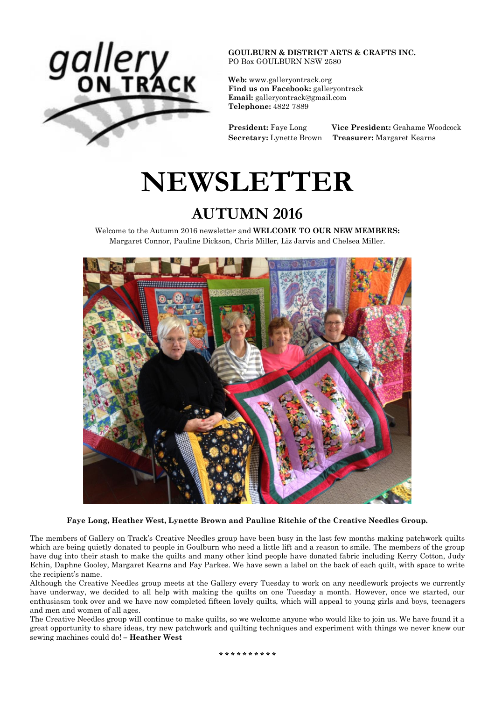

**GOULBURN & DISTRICT ARTS & CRAFTS INC.** PO Box GOULBURN NSW 2580

**Web:** [www.galleryontrack.org](http://webmail.bigpond.com/webedge/do/redirect?url=http%253A%252F%252Fwww.galleryontrack.org&hmac=2e5f12dd9d29e74bb5e5b39b6fdd4ae9) **Find us on Facebook:** galleryontrack **Email:** [galleryontrack@gmail.com](http://webmail.bigpond.com/webedge/do/mail/message/mailto?to=galleryontrack%40gmail.com) **Telephone:** 4822 7889

**President:** Faye Long **Vice President:** Grahame Woodcock **Secretary:** Lynette Brown **Treasurer:** Margaret Kearns

# **NEWSLETTER**

# **AUTUMN 2016**

Welcome to the Autumn 2016 newsletter and **WELCOME TO OUR NEW MEMBERS:** Margaret Connor, Pauline Dickson, Chris Miller, Liz Jarvis and Chelsea Miller.



**Faye Long, Heather West, Lynette Brown and Pauline Ritchie of the Creative Needles Group.**

The members of Gallery on Track's Creative Needles group have been busy in the last few months making patchwork quilts which are being quietly donated to people in Goulburn who need a little lift and a reason to smile. The members of the group have dug into their stash to make the quilts and many other kind people have donated fabric including Kerry Cotton, Judy Echin, Daphne Gooley, Margaret Kearns and Fay Parkes. We have sewn a label on the back of each quilt, with space to write the recipient's name.

Although the Creative Needles group meets at the Gallery every Tuesday to work on any needlework projects we currently have underway, we decided to all help with making the quilts on one Tuesday a month. However, once we started, our enthusiasm took over and we have now completed fifteen lovely quilts, which will appeal to young girls and boys, teenagers and men and women of all ages.

The Creative Needles group will continue to make quilts, so we welcome anyone who would like to join us. We have found it a great opportunity to share ideas, try new patchwork and quilting techniques and experiment with things we never knew our sewing machines could do! **– Heather West**

**\* \* \* \* \* \* \* \* \* \***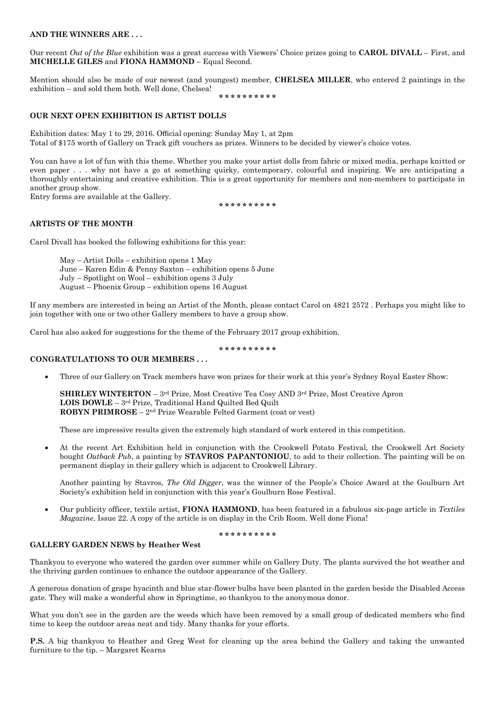#### **AND THE WINNERS ARE . . .**

Our recent *Out of the Blue* exhibition was a great success with Viewers' Choice prizes going to **CAROL DIVALL** – First, and **MICHELLE GILES** and **FIONA HAMMOND** – Equal Second.

Mention should also be made of our newest (and youngest) member, **CHELSEA MILLER**, who entered 2 paintings in the exhibition – and sold them both. Well done, Chelsea!

**\* \* \* \* \* \* \* \* \* \***

## **OUR NEXT OPEN EXHIBITION IS ARTIST DOLLS**

Exhibition dates: May 1 to 29, 2016. Official opening: Sunday May 1, at 2pm Total of \$175 worth of Gallery on Track gift vouchers as prizes. Winners to be decided by viewer's choice votes.

You can have a lot of fun with this theme. Whether you make your artist dolls from fabric or mixed media, perhaps knitted or even paper . . . why not have a go at something quirky, contemporary, colourful and inspiring. We are anticipating a thoroughly entertaining and creative exhibition. This is a great opportunity for members and non-members to participate in another group show.

Entry forms are available at the Gallery.

**\* \* \* \* \* \* \* \* \* \***

## **ARTISTS OF THE MONTH**

Carol Divall has booked the following exhibitions for this year:

May – Artist Dolls – exhibition opens 1 May June – Karen Edin & Penny Saxton – exhibition opens 5 June July – Spotlight on Wool – exhibition opens 3 July August – Phoenix Group – exhibition opens 16 August

If any members are interested in being an Artist of the Month, please contact Carol on 4821 2572 . Perhaps you might like to join together with one or two other Gallery members to have a group show.

Carol has also asked for suggestions for the theme of the February 2017 group exhibition.

**\* \* \* \* \* \* \* \* \* \***

## **CONGRATULATIONS TO OUR MEMBERS . . .**

Three of our Gallery on Track members have won prizes for their work at this year's Sydney Royal Easter Show:

**SHIRLEY WINTERTON** – 3<sup>rd</sup> Prize, Most Creative Tea Cosy AND 3<sup>rd</sup> Prize, Most Creative Apron **LOIS DOWLE** – 3 rd Prize, Traditional Hand Quilted Bed Quilt **ROBYN PRIMROSE** – 2<sup>nd</sup> Prize Wearable Felted Garment (coat or vest)

These are impressive results given the extremely high standard of work entered in this competition.

 At the recent Art Exhibition held in conjunction with the Crookwell Potato Festival, the Crookwell Art Society bought *Outback Pub*, a painting by **STAVROS PAPANTONIOU**, to add to their collection. The painting will be on permanent display in their gallery which is adjacent to Crookwell Library.

Another painting by Stavros, *The Old Digger*, was the winner of the People's Choice Award at the Goulburn Art Society's exhibition held in conjunction with this year's Goulburn Rose Festival.

 Our publicity officer, textile artist, **FIONA HAMMOND**, has been featured in a fabulous six-page article in *Textiles Magazine*, Issue 22. A copy of the article is on display in the Crib Room. Well done Fiona!

**\* \* \* \* \* \* \* \* \* \***

#### **GALLERY GARDEN NEWS by Heather West**

Thankyou to everyone who watered the garden over summer while on Gallery Duty. The plants survived the hot weather and the thriving garden continues to enhance the outdoor appearance of the Gallery.

A generous donation of grape hyacinth and blue star-flower bulbs have been planted in the garden beside the Disabled Access gate. They will make a wonderful show in Springtime, so thankyou to the anonymous donor.

What you don't see in the garden are the weeds which have been removed by a small group of dedicated members who find time to keep the outdoor areas neat and tidy. Many thanks for your efforts.

**P.S.** A big thankyou to Heather and Greg West for cleaning up the area behind the Gallery and taking the unwanted furniture to the tip. – Margaret Kearns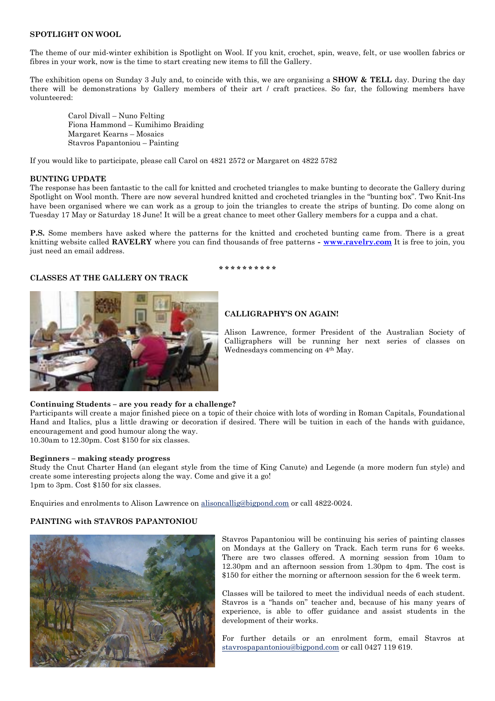#### **SPOTLIGHT ON WOOL**

The theme of our mid-winter exhibition is Spotlight on Wool. If you knit, crochet, spin, weave, felt, or use woollen fabrics or fibres in your work, now is the time to start creating new items to fill the Gallery.

The exhibition opens on Sunday 3 July and, to coincide with this, we are organising a **SHOW & TELL** day. During the day there will be demonstrations by Gallery members of their art / craft practices. So far, the following members have volunteered:

Carol Divall – Nuno Felting Fiona Hammond – Kumihimo Braiding Margaret Kearns – Mosaics Stavros Papantoniou – Painting

If you would like to participate, please call Carol on 4821 2572 or Margaret on 4822 5782

#### **BUNTING UPDATE**

The response has been fantastic to the call for knitted and crocheted triangles to make bunting to decorate the Gallery during Spotlight on Wool month. There are now several hundred knitted and crocheted triangles in the "bunting box". Two Knit-Ins have been organised where we can work as a group to join the triangles to create the strips of bunting. Do come along on Tuesday 17 May or Saturday 18 June! It will be a great chance to meet other Gallery members for a cuppa and a chat.

**P.S.** Some members have asked where the patterns for the knitted and crocheted bunting came from. There is a great knitting website called **RAVELRY** where you can find thousands of free patterns **- [www.ravelry.com](http://www.ravelry.com/)** It is free to join, you just need an email address.

**\* \* \* \* \* \* \* \* \* \***

## **CLASSES AT THE GALLERY ON TRACK**



## **CALLIGRAPHY'S ON AGAIN!**

Alison Lawrence, former President of the Australian Society of Calligraphers will be running her next series of classes on Wednesdays commencing on 4th May.

#### **Continuing Students – are you ready for a challenge?**

Participants will create a major finished piece on a topic of their choice with lots of wording in Roman Capitals, Foundational Hand and Italics, plus a little drawing or decoration if desired. There will be tuition in each of the hands with guidance, encouragement and good humour along the way.

10.30am to 12.30pm. Cost \$150 for six classes.

#### **Beginners – making steady progress**

Study the Cnut Charter Hand (an elegant style from the time of King Canute) and Legende (a more modern fun style) and create some interesting projects along the way. Come and give it a go! 1pm to 3pm. Cost \$150 for six classes.

Enquiries and enrolments to Alison Lawrence on [alisoncallig@bigpond.com](mailto:alisoncallig@bigpond.com) or call 4822-0024.

## **PAINTING with STAVROS PAPANTONIOU**



Stavros Papantoniou will be continuing his series of painting classes on Mondays at the Gallery on Track. Each term runs for 6 weeks. There are two classes offered. A morning session from 10am to 12.30pm and an afternoon session from 1.30pm to 4pm. The cost is \$150 for either the morning or afternoon session for the 6 week term.

Classes will be tailored to meet the individual needs of each student. Stavros is a "hands on" teacher and, because of his many years of experience, is able to offer guidance and assist students in the development of their works.

For further details or an enrolment form, email Stavros at [stavrospapantoniou@bigpond.com](http://webmail.bigpond.com/webedge/do/mail/message/mailto?to=stavrospapantoniou%40bigpond.com) or call 0427 119 619.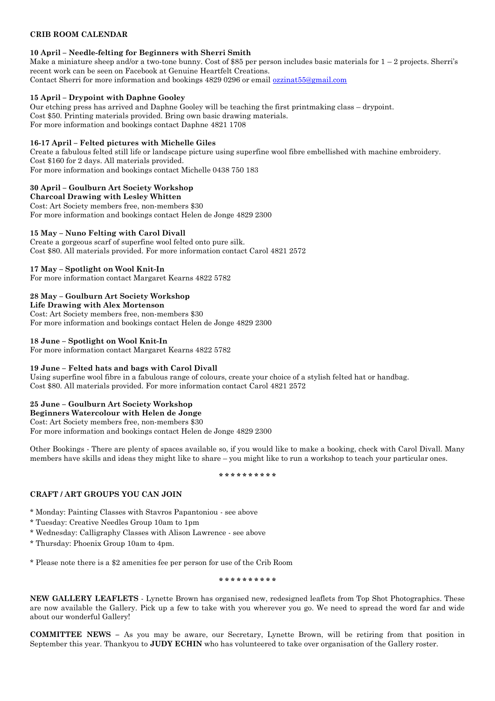## **CRIB ROOM CALENDAR**

## **10 April – Needle-felting for Beginners with Sherri Smith**

Make a miniature sheep and/or a two-tone bunny. Cost of \$85 per person includes basic materials for  $1 - 2$  projects. Sherri's recent work can be seen on Facebook at Genuine Heartfelt Creations. Contact Sherri for more information and bookings 4829 0296 or email [ozzinat55@gmail.com](mailto:ozzinat55@gmail.com)

## **15 April – Drypoint with Daphne Gooley**

Our etching press has arrived and Daphne Gooley will be teaching the first printmaking class – drypoint. Cost \$50. Printing materials provided. Bring own basic drawing materials. For more information and bookings contact Daphne 4821 1708

## **16-17 April – Felted pictures with Michelle Giles**

Create a fabulous felted still life or landscape picture using superfine wool fibre embellished with machine embroidery. Cost \$160 for 2 days. All materials provided. For more information and bookings contact Michelle 0438 750 183

## **30 April – Goulburn Art Society Workshop**

**Charcoal Drawing with Lesley Whitten**  Cost: Art Society members free, non-members \$30 For more information and bookings contact Helen de Jonge 4829 2300

## **15 May – Nuno Felting with Carol Divall**

Create a gorgeous scarf of superfine wool felted onto pure silk. Cost \$80. All materials provided. For more information contact Carol 4821 2572

## **17 May – Spotlight on Wool Knit-In**

For more information contact Margaret Kearns 4822 5782

## **28 May – Goulburn Art Society Workshop**

**Life Drawing with Alex Mortenson**

Cost: Art Society members free, non-members \$30 For more information and bookings contact Helen de Jonge 4829 2300

## **18 June – Spotlight on Wool Knit-In**

For more information contact Margaret Kearns 4822 5782

## **19 June – Felted hats and bags with Carol Divall**

Using superfine wool fibre in a fabulous range of colours, create your choice of a stylish felted hat or handbag. Cost \$80. All materials provided. For more information contact Carol 4821 2572

## **25 June – Goulburn Art Society Workshop**

**Beginners Watercolour with Helen de Jonge** Cost: Art Society members free, non-members \$30 For more information and bookings contact Helen de Jonge 4829 2300

Other Bookings - There are plenty of spaces available so, if you would like to make a booking, check with Carol Divall. Many members have skills and ideas they might like to share – you might like to run a workshop to teach your particular ones.

#### **\* \* \* \* \* \* \* \* \* \***

## **CRAFT / ART GROUPS YOU CAN JOIN**

\* Monday: Painting Classes with Stavros Papantoniou - see above

- \* Tuesday: Creative Needles Group 10am to 1pm
- \* Wednesday: Calligraphy Classes with Alison Lawrence see above
- \* Thursday: Phoenix Group 10am to 4pm.

\* Please note there is a \$2 amenities fee per person for use of the Crib Room

## **\* \* \* \* \* \* \* \* \* \***

**NEW GALLERY LEAFLETS** - Lynette Brown has organised new, redesigned leaflets from Top Shot Photographics. These are now available the Gallery. Pick up a few to take with you wherever you go. We need to spread the word far and wide about our wonderful Gallery!

**COMMITTEE NEWS –** As you may be aware, our Secretary, Lynette Brown, will be retiring from that position in September this year. Thankyou to **JUDY ECHIN** who has volunteered to take over organisation of the Gallery roster.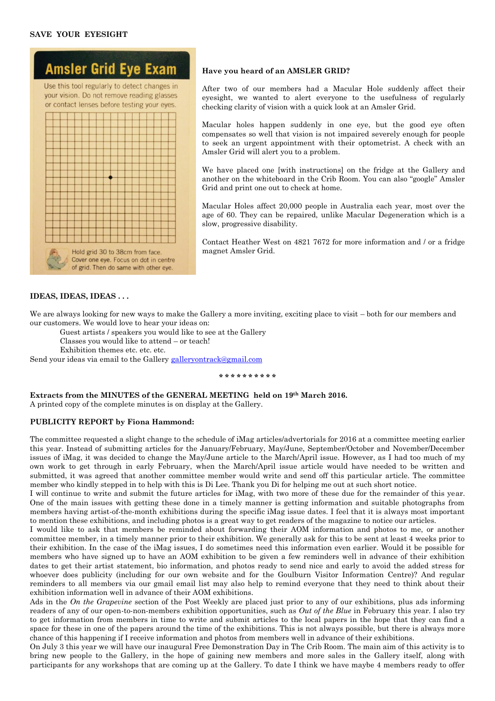## **SAVE YOUR EYESIGHT**



#### **Have you heard of an AMSLER GRID?**

After two of our members had a Macular Hole suddenly affect their eyesight, we wanted to alert everyone to the usefulness of regularly checking clarity of vision with a quick look at an Amsler Grid.

Macular holes happen suddenly in one eye, but the good eye often compensates so well that vision is not impaired severely enough for people to seek an urgent appointment with their optometrist. A check with an Amsler Grid will alert you to a problem.

We have placed one [with instructions] on the fridge at the Gallery and another on the whiteboard in the Crib Room. You can also "google" Amsler Grid and print one out to check at home.

Macular Holes affect 20,000 people in Australia each year, most over the age of 60. They can be repaired, unlike Macular Degeneration which is a slow, progressive disability.

Contact Heather West on 4821 7672 for more information and / or a fridge magnet Amsler Grid.

## **IDEAS, IDEAS, IDEAS . . .**

We are always looking for new ways to make the Gallery a more inviting, exciting place to visit – both for our members and our customers. We would love to hear your ideas on:

Guest artists / speakers you would like to see at the Gallery

Classes you would like to attend – or teach!

Exhibition themes etc. etc. etc.

Send your ideas via email to the Galler[y galleryontrack@gmail.com](mailto:galleryontrack@gmail.com)

#### **\* \* \* \* \* \* \* \* \* \***

**Extracts from the MINUTES of the GENERAL MEETING held on 19th March 2016.**  A printed copy of the complete minutes is on display at the Gallery.

#### **PUBLICITY REPORT by Fiona Hammond:**

The committee requested a slight change to the schedule of iMag articles/advertorials for 2016 at a committee meeting earlier this year. Instead of submitting articles for the January/February, May/June, September/October and November/December issues of iMag, it was decided to change the May/June article to the March/April issue. However, as I had too much of my own work to get through in early February, when the March/April issue article would have needed to be written and submitted, it was agreed that another committee member would write and send off this particular article. The committee member who kindly stepped in to help with this is Di Lee. Thank you Di for helping me out at such short notice.

I will continue to write and submit the future articles for iMag, with two more of these due for the remainder of this year. One of the main issues with getting these done in a timely manner is getting information and suitable photographs from members having artist-of-the-month exhibitions during the specific iMag issue dates. I feel that it is always most important to mention these exhibitions, and including photos is a great way to get readers of the magazine to notice our articles.

I would like to ask that members be reminded about forwarding their AOM information and photos to me, or another committee member, in a timely manner prior to their exhibition. We generally ask for this to be sent at least 4 weeks prior to their exhibition. In the case of the iMag issues, I do sometimes need this information even earlier. Would it be possible for members who have signed up to have an AOM exhibition to be given a few reminders well in advance of their exhibition dates to get their artist statement, bio information, and photos ready to send nice and early to avoid the added stress for whoever does publicity (including for our own website and for the Goulburn Visitor Information Centre)? And regular reminders to all members via our gmail email list may also help to remind everyone that they need to think about their exhibition information well in advance of their AOM exhibitions.

Ads in the *On the Grapevine* section of the Post Weekly are placed just prior to any of our exhibitions, plus ads informing readers of any of our open-to-non-members exhibition opportunities, such as *Out of the Blue* in February this year. I also try to get information from members in time to write and submit articles to the local papers in the hope that they can find a space for these in one of the papers around the time of the exhibitions. This is not always possible, but there is always more chance of this happening if I receive information and photos from members well in advance of their exhibitions.

On July 3 this year we will have our inaugural Free Demonstration Day in The Crib Room. The main aim of this activity is to bring new people to the Gallery, in the hope of gaining new members and more sales in the Gallery itself, along with participants for any workshops that are coming up at the Gallery. To date I think we have maybe 4 members ready to offer